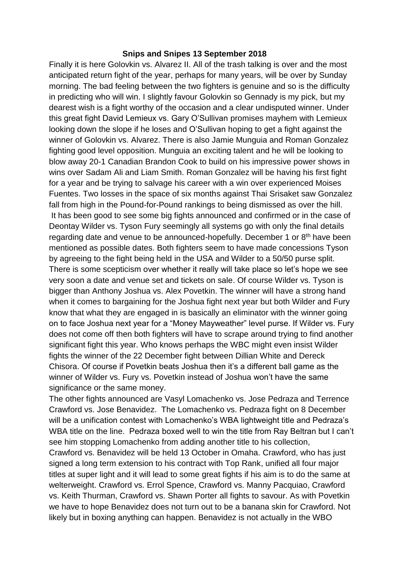## **Snips and Snipes 13 September 2018**

Finally it is here Golovkin vs. Alvarez II. All of the trash talking is over and the most anticipated return fight of the year, perhaps for many years, will be over by Sunday morning. The bad feeling between the two fighters is genuine and so is the difficulty in predicting who will win. I slightly favour Golovkin so Gennady is my pick, but my dearest wish is a fight worthy of the occasion and a clear undisputed winner. Under this great fight David Lemieux vs. Gary O'Sullivan promises mayhem with Lemieux looking down the slope if he loses and O'Sullivan hoping to get a fight against the winner of Golovkin vs. Alvarez. There is also Jamie Munguia and Roman Gonzalez fighting good level opposition. Munguia an exciting talent and he will be looking to blow away 20-1 Canadian Brandon Cook to build on his impressive power shows in wins over Sadam Ali and Liam Smith. Roman Gonzalez will be having his first fight for a year and be trying to salvage his career with a win over experienced Moises Fuentes. Two losses in the space of six months against Thai Srisaket saw Gonzalez fall from high in the Pound-for-Pound rankings to being dismissed as over the hill. It has been good to see some big fights announced and confirmed or in the case of Deontay Wilder vs. Tyson Fury seemingly all systems go with only the final details regarding date and venue to be announced-hopefully. December 1 or 8<sup>th</sup> have been mentioned as possible dates. Both fighters seem to have made concessions Tyson by agreeing to the fight being held in the USA and Wilder to a 50/50 purse split. There is some scepticism over whether it really will take place so let's hope we see very soon a date and venue set and tickets on sale. Of course Wilder vs. Tyson is bigger than Anthony Joshua vs. Alex Povetkin. The winner will have a strong hand when it comes to bargaining for the Joshua fight next year but both Wilder and Fury know that what they are engaged in is basically an eliminator with the winner going on to face Joshua next year for a "Money Mayweather" level purse. If Wilder vs. Fury does not come off then both fighters will have to scrape around trying to find another significant fight this year. Who knows perhaps the WBC might even insist Wilder fights the winner of the 22 December fight between Dillian White and Dereck Chisora. Of course if Povetkin beats Joshua then it's a different ball game as the winner of Wilder vs. Fury vs. Povetkin instead of Joshua won't have the same significance or the same money.

The other fights announced are Vasyl Lomachenko vs. Jose Pedraza and Terrence Crawford vs. Jose Benavidez. The Lomachenko vs. Pedraza fight on 8 December will be a unification contest with Lomachenko's WBA lightweight title and Pedraza's WBA title on the line. Pedraza boxed well to win the title from Ray Beltran but I can't see him stopping Lomachenko from adding another title to his collection,

Crawford vs. Benavidez will be held 13 October in Omaha. Crawford, who has just signed a long term extension to his contract with Top Rank, unified all four major titles at super light and it will lead to some great fights if his aim is to do the same at welterweight. Crawford vs. Errol Spence, Crawford vs. Manny Pacquiao, Crawford vs. Keith Thurman, Crawford vs. Shawn Porter all fights to savour. As with Povetkin we have to hope Benavidez does not turn out to be a banana skin for Crawford. Not likely but in boxing anything can happen. Benavidez is not actually in the WBO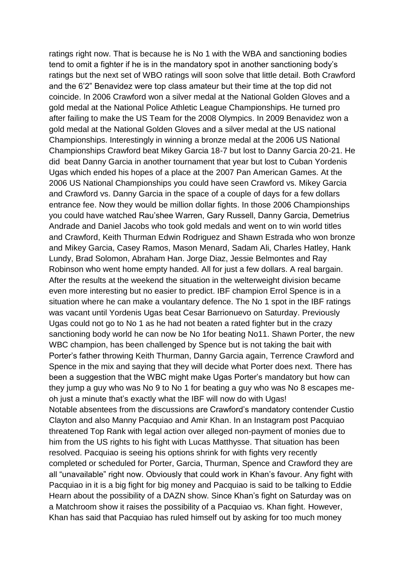ratings right now. That is because he is No 1 with the WBA and sanctioning bodies tend to omit a fighter if he is in the mandatory spot in another sanctioning body's ratings but the next set of WBO ratings will soon solve that little detail. Both Crawford and the 6'2" Benavidez were top class amateur but their time at the top did not coincide. In 2006 Crawford won a silver medal at the National Golden Gloves and a gold medal at the National Police Athletic League Championships. He turned pro after failing to make the US Team for the 2008 Olympics. In 2009 Benavidez won a gold medal at the National Golden Gloves and a silver medal at the US national Championships. Interestingly in winning a bronze medal at the 2006 US National Championships Crawford beat Mikey Garcia 18-7 but lost to Danny Garcia 20-21. He did beat Danny Garcia in another tournament that year but lost to Cuban Yordenis Ugas which ended his hopes of a place at the 2007 Pan American Games. At the 2006 US National Championships you could have seen Crawford vs. Mikey Garcia and Crawford vs. Danny Garcia in the space of a couple of days for a few dollars entrance fee. Now they would be million dollar fights. In those 2006 Championships you could have watched Rau'shee Warren, Gary Russell, Danny Garcia, Demetrius Andrade and Daniel Jacobs who took gold medals and went on to win world titles and Crawford, Keith Thurman Edwin Rodriguez and Shawn Estrada who won bronze and Mikey Garcia, Casey Ramos, Mason Menard, Sadam Ali, Charles Hatley, Hank Lundy, Brad Solomon, Abraham Han. Jorge Diaz, Jessie Belmontes and Ray Robinson who went home empty handed. All for just a few dollars. A real bargain. After the results at the weekend the situation in the welterweight division became even more interesting but no easier to predict. IBF champion Errol Spence is in a situation where he can make a voulantary defence. The No 1 spot in the IBF ratings was vacant until Yordenis Ugas beat Cesar Barrionuevo on Saturday. Previously Ugas could not go to No 1 as he had not beaten a rated fighter but in the crazy sanctioning body world he can now be No 1for beating No11. Shawn Porter, the new WBC champion, has been challenged by Spence but is not taking the bait with Porter's father throwing Keith Thurman, Danny Garcia again, Terrence Crawford and Spence in the mix and saying that they will decide what Porter does next. There has been a suggestion that the WBC might make Ugas Porter's mandatory but how can they jump a guy who was No 9 to No 1 for beating a guy who was No 8 escapes meoh just a minute that's exactly what the IBF will now do with Ugas! Notable absentees from the discussions are Crawford's mandatory contender Custio Clayton and also Manny Pacquiao and Amir Khan. In an Instagram post Pacquiao threatened Top Rank with legal action over alleged non-payment of monies due to him from the US rights to his fight with Lucas Matthysse. That situation has been resolved. Pacquiao is seeing his options shrink for with fights very recently completed or scheduled for Porter, Garcia, Thurman, Spence and Crawford they are all "unavailable" right now. Obviously that could work in Khan's favour. Any fight with Pacquiao in it is a big fight for big money and Pacquiao is said to be talking to Eddie Hearn about the possibility of a DAZN show. Since Khan's fight on Saturday was on a Matchroom show it raises the possibility of a Pacquiao vs. Khan fight. However, Khan has said that Pacquiao has ruled himself out by asking for too much money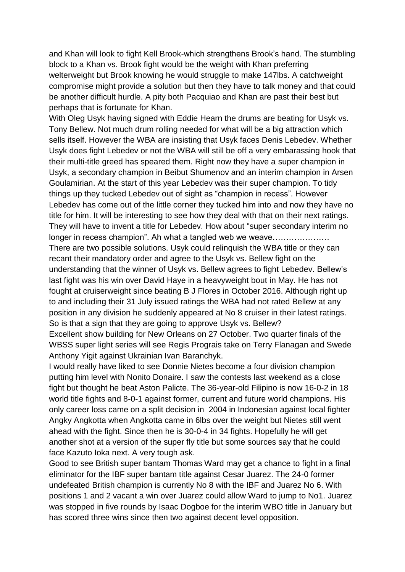and Khan will look to fight Kell Brook-which strengthens Brook's hand. The stumbling block to a Khan vs. Brook fight would be the weight with Khan preferring welterweight but Brook knowing he would struggle to make 147lbs. A catchweight compromise might provide a solution but then they have to talk money and that could be another difficult hurdle. A pity both Pacquiao and Khan are past their best but perhaps that is fortunate for Khan.

With Oleg Usyk having signed with Eddie Hearn the drums are beating for Usyk vs. Tony Bellew. Not much drum rolling needed for what will be a big attraction which sells itself. However the WBA are insisting that Usyk faces Denis Lebedev. Whether Usyk does fight Lebedev or not the WBA will still be off a very embarassing hook that their multi-title greed has speared them. Right now they have a super champion in Usyk, a secondary champion in Beibut Shumenov and an interim champion in Arsen Goulamirian. At the start of this year Lebedev was their super champion. To tidy things up they tucked Lebedev out of sight as "champion in recess". However Lebedev has come out of the little corner they tucked him into and now they have no title for him. It will be interesting to see how they deal with that on their next ratings. They will have to invent a title for Lebedev. How about "super secondary interim no longer in recess champion". Ah what a tangled web we weave………………… There are two possible solutions. Usyk could relinquish the WBA title or they can recant their mandatory order and agree to the Usyk vs. Bellew fight on the understanding that the winner of Usyk vs. Bellew agrees to fight Lebedev. Bellew's last fight was his win over David Haye in a heavyweight bout in May. He has not fought at cruiserweight since beating B J Flores in October 2016. Although right up to and including their 31 July issued ratings the WBA had not rated Bellew at any position in any division he suddenly appeared at No 8 cruiser in their latest ratings. So is that a sign that they are going to approve Usyk vs. Bellew?

Excellent show building for New Orleans on 27 October. Two quarter finals of the WBSS super light series will see Regis Prograis take on Terry Flanagan and Swede Anthony Yigit against Ukrainian Ivan Baranchyk.

I would really have liked to see Donnie Nietes become a four division champion putting him level with Nonito Donaire. I saw the contests last weekend as a close fight but thought he beat Aston Palicte. The 36-year-old Filipino is now 16-0-2 in 18 world title fights and 8-0-1 against former, current and future world champions. His only career loss came on a split decision in 2004 in Indonesian against local fighter Angky Angkotta when Angkotta came in 6lbs over the weight but Nietes still went ahead with the fight. Since then he is 30-0-4 in 34 fights. Hopefully he will get another shot at a version of the super fly title but some sources say that he could face Kazuto Ioka next. A very tough ask.

Good to see British super bantam Thomas Ward may get a chance to fight in a final eliminator for the IBF super bantam title against Cesar Juarez. The 24-0 former undefeated British champion is currently No 8 with the IBF and Juarez No 6. With positions 1 and 2 vacant a win over Juarez could allow Ward to jump to No1. Juarez was stopped in five rounds by Isaac Dogboe for the interim WBO title in January but has scored three wins since then two against decent level opposition.